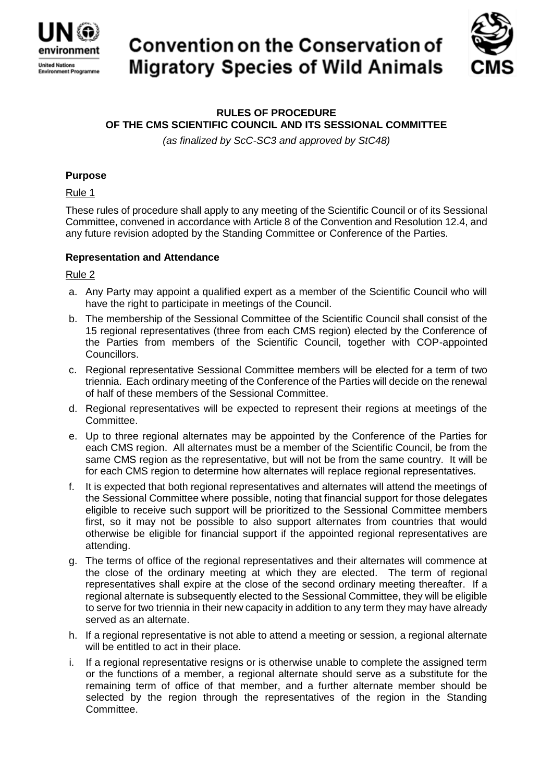

# **Convention on the Conservation of Migratory Species of Wild Animals**



## **RULES OF PROCEDURE OF THE CMS SCIENTIFIC COUNCIL AND ITS SESSIONAL COMMITTEE**

*(as finalized by ScC-SC3 and approved by StC48)*

## **Purpose**

## Rule 1

These rules of procedure shall apply to any meeting of the Scientific Council or of its Sessional Committee, convened in accordance with Article 8 of the Convention and Resolution 12.4, and any future revision adopted by the Standing Committee or Conference of the Parties.

## **Representation and Attendance**

## Rule 2

- a. Any Party may appoint a qualified expert as a member of the Scientific Council who will have the right to participate in meetings of the Council.
- b. The membership of the Sessional Committee of the Scientific Council shall consist of the 15 regional representatives (three from each CMS region) elected by the Conference of the Parties from members of the Scientific Council, together with COP-appointed Councillors.
- c. Regional representative Sessional Committee members will be elected for a term of two triennia. Each ordinary meeting of the Conference of the Parties will decide on the renewal of half of these members of the Sessional Committee.
- d. Regional representatives will be expected to represent their regions at meetings of the Committee.
- e. Up to three regional alternates may be appointed by the Conference of the Parties for each CMS region. All alternates must be a member of the Scientific Council, be from the same CMS region as the representative, but will not be from the same country. It will be for each CMS region to determine how alternates will replace regional representatives.
- f. It is expected that both regional representatives and alternates will attend the meetings of the Sessional Committee where possible, noting that financial support for those delegates eligible to receive such support will be prioritized to the Sessional Committee members first, so it may not be possible to also support alternates from countries that would otherwise be eligible for financial support if the appointed regional representatives are attending.
- g. The terms of office of the regional representatives and their alternates will commence at the close of the ordinary meeting at which they are elected. The term of regional representatives shall expire at the close of the second ordinary meeting thereafter. If a regional alternate is subsequently elected to the Sessional Committee, they will be eligible to serve for two triennia in their new capacity in addition to any term they may have already served as an alternate.
- h. If a regional representative is not able to attend a meeting or session, a regional alternate will be entitled to act in their place.
- i. If a regional representative resigns or is otherwise unable to complete the assigned term or the functions of a member, a regional alternate should serve as a substitute for the remaining term of office of that member, and a further alternate member should be selected by the region through the representatives of the region in the Standing Committee.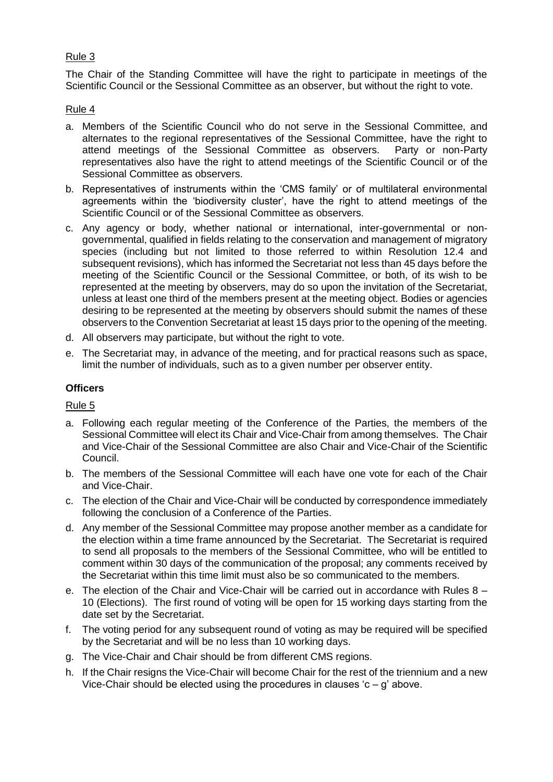## Rule 3

The Chair of the Standing Committee will have the right to participate in meetings of the Scientific Council or the Sessional Committee as an observer, but without the right to vote.

## Rule 4

- a. Members of the Scientific Council who do not serve in the Sessional Committee, and alternates to the regional representatives of the Sessional Committee, have the right to attend meetings of the Sessional Committee as observers. Party or non-Party representatives also have the right to attend meetings of the Scientific Council or of the Sessional Committee as observers.
- b. Representatives of instruments within the 'CMS family' or of multilateral environmental agreements within the 'biodiversity cluster', have the right to attend meetings of the Scientific Council or of the Sessional Committee as observers.
- c. Any agency or body, whether national or international, inter-governmental or nongovernmental, qualified in fields relating to the conservation and management of migratory species (including but not limited to those referred to within Resolution 12.4 and subsequent revisions), which has informed the Secretariat not less than 45 days before the meeting of the Scientific Council or the Sessional Committee, or both, of its wish to be represented at the meeting by observers, may do so upon the invitation of the Secretariat, unless at least one third of the members present at the meeting object. Bodies or agencies desiring to be represented at the meeting by observers should submit the names of these observers to the Convention Secretariat at least 15 days prior to the opening of the meeting.
- d. All observers may participate, but without the right to vote.
- e. The Secretariat may, in advance of the meeting, and for practical reasons such as space, limit the number of individuals, such as to a given number per observer entity.

## **Officers**

## Rule 5

- a. Following each regular meeting of the Conference of the Parties, the members of the Sessional Committee will elect its Chair and Vice-Chair from among themselves. The Chair and Vice-Chair of the Sessional Committee are also Chair and Vice-Chair of the Scientific Council.
- b. The members of the Sessional Committee will each have one vote for each of the Chair and Vice-Chair.
- c. The election of the Chair and Vice-Chair will be conducted by correspondence immediately following the conclusion of a Conference of the Parties.
- d. Any member of the Sessional Committee may propose another member as a candidate for the election within a time frame announced by the Secretariat. The Secretariat is required to send all proposals to the members of the Sessional Committee, who will be entitled to comment within 30 days of the communication of the proposal; any comments received by the Secretariat within this time limit must also be so communicated to the members.
- e. The election of the Chair and Vice-Chair will be carried out in accordance with Rules 8 10 (Elections). The first round of voting will be open for 15 working days starting from the date set by the Secretariat.
- f. The voting period for any subsequent round of voting as may be required will be specified by the Secretariat and will be no less than 10 working days.
- g. The Vice-Chair and Chair should be from different CMS regions.
- h. If the Chair resigns the Vice-Chair will become Chair for the rest of the triennium and a new Vice-Chair should be elected using the procedures in clauses  $-c - g$  above.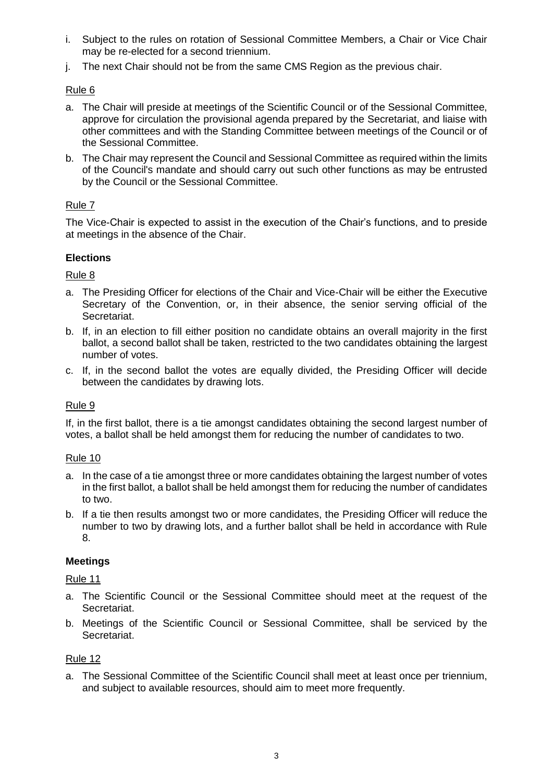- i. Subject to the rules on rotation of Sessional Committee Members, a Chair or Vice Chair may be re-elected for a second triennium.
- j. The next Chair should not be from the same CMS Region as the previous chair.

## Rule 6

- a. The Chair will preside at meetings of the Scientific Council or of the Sessional Committee, approve for circulation the provisional agenda prepared by the Secretariat, and liaise with other committees and with the Standing Committee between meetings of the Council or of the Sessional Committee.
- b. The Chair may represent the Council and Sessional Committee as required within the limits of the Council's mandate and should carry out such other functions as may be entrusted by the Council or the Sessional Committee.

## Rule 7

The Vice-Chair is expected to assist in the execution of the Chair's functions, and to preside at meetings in the absence of the Chair.

## **Elections**

## Rule 8

- a. The Presiding Officer for elections of the Chair and Vice-Chair will be either the Executive Secretary of the Convention, or, in their absence, the senior serving official of the Secretariat.
- b. If, in an election to fill either position no candidate obtains an overall majority in the first ballot, a second ballot shall be taken, restricted to the two candidates obtaining the largest number of votes.
- c. If, in the second ballot the votes are equally divided, the Presiding Officer will decide between the candidates by drawing lots.

## Rule 9

If, in the first ballot, there is a tie amongst candidates obtaining the second largest number of votes, a ballot shall be held amongst them for reducing the number of candidates to two.

## Rule 10

- a. In the case of a tie amongst three or more candidates obtaining the largest number of votes in the first ballot, a ballot shall be held amongst them for reducing the number of candidates to two.
- b. If a tie then results amongst two or more candidates, the Presiding Officer will reduce the number to two by drawing lots, and a further ballot shall be held in accordance with Rule 8.

## **Meetings**

## Rule 11

- a. The Scientific Council or the Sessional Committee should meet at the request of the Secretariat.
- b. Meetings of the Scientific Council or Sessional Committee, shall be serviced by the Secretariat.

## Rule 12

a. The Sessional Committee of the Scientific Council shall meet at least once per triennium, and subject to available resources, should aim to meet more frequently.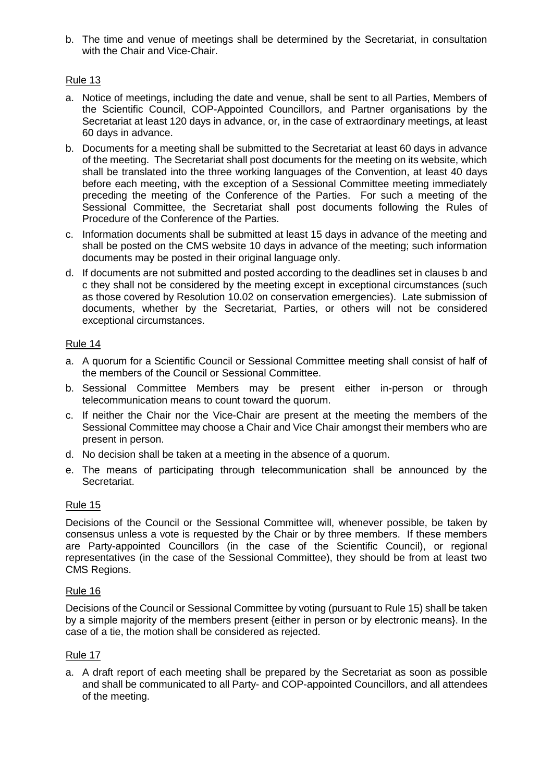b. The time and venue of meetings shall be determined by the Secretariat, in consultation with the Chair and Vice-Chair.

## Rule 13

- a. Notice of meetings, including the date and venue, shall be sent to all Parties, Members of the Scientific Council, COP-Appointed Councillors, and Partner organisations by the Secretariat at least 120 days in advance, or, in the case of extraordinary meetings, at least 60 days in advance.
- b. Documents for a meeting shall be submitted to the Secretariat at least 60 days in advance of the meeting. The Secretariat shall post documents for the meeting on its website, which shall be translated into the three working languages of the Convention, at least 40 days before each meeting, with the exception of a Sessional Committee meeting immediately preceding the meeting of the Conference of the Parties. For such a meeting of the Sessional Committee, the Secretariat shall post documents following the Rules of Procedure of the Conference of the Parties.
- c. Information documents shall be submitted at least 15 days in advance of the meeting and shall be posted on the CMS website 10 days in advance of the meeting; such information documents may be posted in their original language only.
- d. If documents are not submitted and posted according to the deadlines set in clauses b and c they shall not be considered by the meeting except in exceptional circumstances (such as those covered by Resolution 10.02 on conservation emergencies). Late submission of documents, whether by the Secretariat, Parties, or others will not be considered exceptional circumstances.

## Rule 14

- a. A quorum for a Scientific Council or Sessional Committee meeting shall consist of half of the members of the Council or Sessional Committee.
- b. Sessional Committee Members may be present either in-person or through telecommunication means to count toward the quorum.
- c. If neither the Chair nor the Vice-Chair are present at the meeting the members of the Sessional Committee may choose a Chair and Vice Chair amongst their members who are present in person.
- d. No decision shall be taken at a meeting in the absence of a quorum.
- e. The means of participating through telecommunication shall be announced by the Secretariat.

## Rule 15

Decisions of the Council or the Sessional Committee will, whenever possible, be taken by consensus unless a vote is requested by the Chair or by three members. If these members are Party-appointed Councillors (in the case of the Scientific Council), or regional representatives (in the case of the Sessional Committee), they should be from at least two CMS Regions.

## Rule 16

Decisions of the Council or Sessional Committee by voting (pursuant to Rule 15) shall be taken by a simple majority of the members present {either in person or by electronic means}. In the case of a tie, the motion shall be considered as rejected.

## Rule 17

a. A draft report of each meeting shall be prepared by the Secretariat as soon as possible and shall be communicated to all Party- and COP-appointed Councillors, and all attendees of the meeting.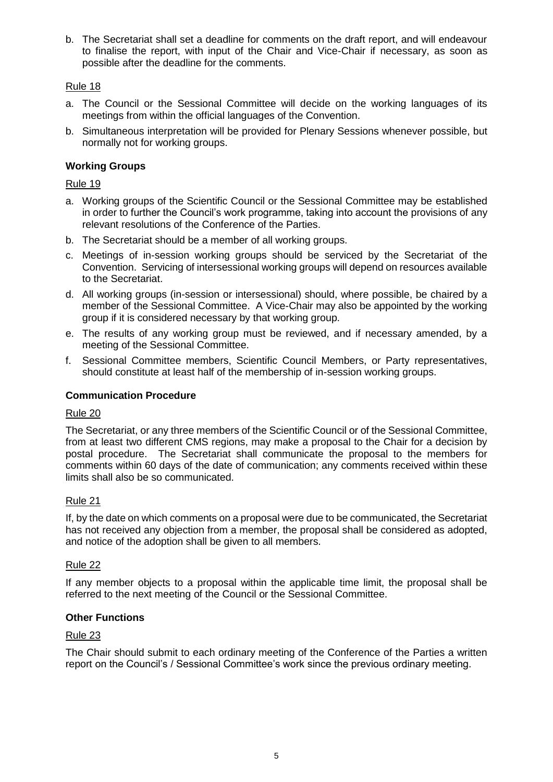b. The Secretariat shall set a deadline for comments on the draft report, and will endeavour to finalise the report, with input of the Chair and Vice-Chair if necessary, as soon as possible after the deadline for the comments.

## Rule 18

- a. The Council or the Sessional Committee will decide on the working languages of its meetings from within the official languages of the Convention.
- b. Simultaneous interpretation will be provided for Plenary Sessions whenever possible, but normally not for working groups.

## **Working Groups**

Rule 19

- a. Working groups of the Scientific Council or the Sessional Committee may be established in order to further the Council's work programme, taking into account the provisions of any relevant resolutions of the Conference of the Parties.
- b. The Secretariat should be a member of all working groups.
- c. Meetings of in-session working groups should be serviced by the Secretariat of the Convention. Servicing of intersessional working groups will depend on resources available to the Secretariat.
- d. All working groups (in-session or intersessional) should, where possible, be chaired by a member of the Sessional Committee. A Vice-Chair may also be appointed by the working group if it is considered necessary by that working group.
- e. The results of any working group must be reviewed, and if necessary amended, by a meeting of the Sessional Committee.
- f. Sessional Committee members, Scientific Council Members, or Party representatives, should constitute at least half of the membership of in-session working groups.

## **Communication Procedure**

## Rule 20

The Secretariat, or any three members of the Scientific Council or of the Sessional Committee, from at least two different CMS regions, may make a proposal to the Chair for a decision by postal procedure. The Secretariat shall communicate the proposal to the members for comments within 60 days of the date of communication; any comments received within these limits shall also be so communicated.

## Rule 21

If, by the date on which comments on a proposal were due to be communicated, the Secretariat has not received any objection from a member, the proposal shall be considered as adopted, and notice of the adoption shall be given to all members.

## Rule 22

If any member objects to a proposal within the applicable time limit, the proposal shall be referred to the next meeting of the Council or the Sessional Committee.

## **Other Functions**

## Rule 23

The Chair should submit to each ordinary meeting of the Conference of the Parties a written report on the Council's / Sessional Committee's work since the previous ordinary meeting.